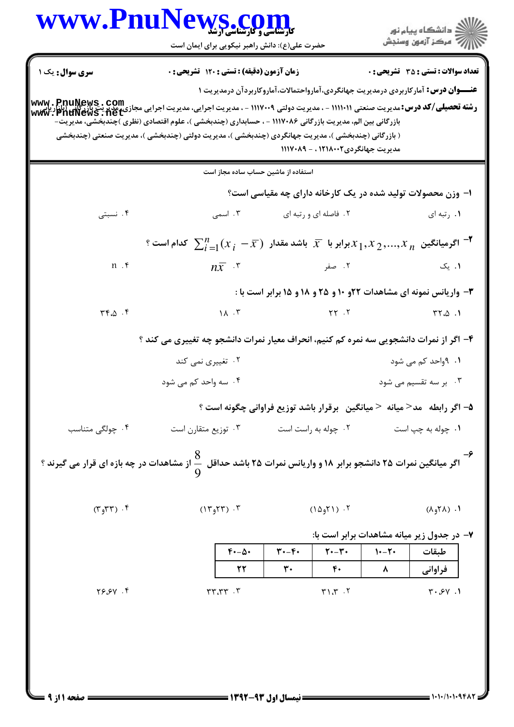ے<br>جگہلات دانشگاہ پیام نور<br>جگہلات

| <b>سری سوال :</b> یک ۱                                                                                                                                  | زمان آزمون (دقیقه) : تستی : 120 تشریحی : 0                                                                                                                  |                                      |                                       |         | <b>تعداد سوالات : تستی : 35 - تشریحی : 0</b>                     |  |
|---------------------------------------------------------------------------------------------------------------------------------------------------------|-------------------------------------------------------------------------------------------------------------------------------------------------------------|--------------------------------------|---------------------------------------|---------|------------------------------------------------------------------|--|
|                                                                                                                                                         | <b>عنــــوان درس:</b> آمار کاربردی درمدیریت جهانگردی،آمارواحتمالات،آماروکاربردآن درمدیریت ۱                                                                 |                                      |                                       |         |                                                                  |  |
| <b>رشته تحصیلی/کد درس:</b> مدیریت صنعتی ۱۱۱۱۰۱۱ - ، مدیریت دولتی ۱۱۱۷۰۰۹ - ، مدیریت اجرایی، مدیریی وسی نور بازی استراکایی<br><b>www . PhuNews . net</b> | بازرگانی بین الم، مدیریت بازرگانی ۱۱۱۷۰۸۶ - ، حسابداری (چندبخشی )، علوم اقتصادی (نظری )چندبخشی، مدیریت-                                                     |                                      |                                       |         |                                                                  |  |
|                                                                                                                                                         | ( بازرگانی (چندبخشی )، مدیریت جهانگردی (چندبخشی )، مدیریت دولتی (چندبخشی )، مدیریت صنعتی (چندبخشی                                                           |                                      |                                       |         |                                                                  |  |
|                                                                                                                                                         |                                                                                                                                                             |                                      | مدیریت جهانگردی۱۲۱۸۰۰۲ ، - ۱۱۱۷۰۸۹    |         |                                                                  |  |
|                                                                                                                                                         | استفاده از ماشین حساب ساده مجاز است                                                                                                                         |                                      |                                       |         |                                                                  |  |
|                                                                                                                                                         |                                                                                                                                                             |                                      |                                       |         | ۱– وزن محصولات تولید شده در یک کارخانه دارای چه مقیاسی است؟      |  |
| ۰۴ نسبتی                                                                                                                                                | ۰۳ اسمی                                                                                                                                                     |                                      | ۲. فاصله ای و رتبه ای                 |         | ١. رتبه ای                                                       |  |
|                                                                                                                                                         | $^{\circ}$ ا $^{\circ}$ اگرمیانگین $x$ $x$ $x$ $\gamma$ $x$ برابر با $\overline{x}$ باشد مقدار $^{\circ}$ $\overline{x}$ $\overline{z}$ کدام است $^{\circ}$ |                                      |                                       |         |                                                                  |  |
| $n \cdot$                                                                                                                                               | $n\overline{x}$ . ۳ - صفر $\overline{x}$ . ۳ - $\overline{x}$                                                                                               |                                      |                                       |         | ۰۱. یک                                                           |  |
|                                                                                                                                                         |                                                                                                                                                             |                                      |                                       |         | ۳- واریانس نمونه ای مشاهدات ۲۲و ۱۰ و ۲۵ و ۱۸ و ۱۵ برابر است با : |  |
| $\mathbf{r} \cdot \mathbf{r}$ . $\mathbf{r}$                                                                                                            | $1\Lambda$ . ۳                                                                                                                                              |                                      | $\gamma$ . The state $\gamma$         |         | $\mathsf{r}\mathsf{r}.\mathsf{\omega}$ .                         |  |
|                                                                                                                                                         | ۴- اگر از نمرات دانشجویی سه نمره کم کنیم، انحراف معیار نمرات دانشجو چه تغییری می کند ؟                                                                      |                                      |                                       |         |                                                                  |  |
|                                                                                                                                                         | ۰۲ تغییری نمی کند                                                                                                                                           |                                      |                                       |         | ۰۱ ۹واحد کم می شود                                               |  |
|                                                                                                                                                         | ۰۴ سه واحد کم می شود                                                                                                                                        |                                      |                                       |         | ۰۳ بر سه تقسیم می شود                                            |  |
|                                                                                                                                                         | ۵– اگر رابطه ۲مد< میانه < میانگین۔برقرار باشد توزیع فراوانی چگونه است ؟                                                                                     |                                      |                                       |         |                                                                  |  |
| ۰۴ چولگی متناسب                                                                                                                                         | ۰۳ توزیع متقارن است                                                                                                                                         |                                      | ۰۲ چوله به راست است                   |         | ۰۱ چوله به چپ است                                                |  |
|                                                                                                                                                         |                                                                                                                                                             |                                      |                                       |         |                                                                  |  |
|                                                                                                                                                         | <b>م ــ</b><br>اگر میانگین نمرات ۲۵ دانشجو برابر ۱۸ و واریانس نمرات ۲۵ باشد حداقل $\cfrac{8}{9}$ از مشاهدات در چه بازه ای قرار می گیرند ؟                   |                                      |                                       |         |                                                                  |  |
|                                                                                                                                                         |                                                                                                                                                             |                                      |                                       |         |                                                                  |  |
| $(\Upsilon, \Upsilon)$ . $\Upsilon$                                                                                                                     | $(1197)$ .                                                                                                                                                  |                                      | $(1\Delta_9 Y)$ . $Y$                 |         | $(1.67)$ .                                                       |  |
|                                                                                                                                                         |                                                                                                                                                             |                                      |                                       |         | ۷- در جدول زیر میانه مشاهدات برابر است با:                       |  |
|                                                                                                                                                         | $f - \Delta$                                                                                                                                                | $\mathbf{r} \cdot -\mathbf{r} \cdot$ | $\mathbf{Y} \cdot - \mathbf{Y} \cdot$ | $1 - 7$ | طبقات                                                            |  |
|                                                                                                                                                         | 22                                                                                                                                                          | $\mathbf{r}$ .                       | $\mathfrak{F}$ .                      | ۸       | فراواني                                                          |  |
| $Y \rightarrow Z$                                                                                                                                       | T. T                                                                                                                                                        |                                      | $T \cdot T$                           |         | $\mathbf{y} \cdot \mathbf{y} \cdot \mathbf{y}$                   |  |
|                                                                                                                                                         |                                                                                                                                                             |                                      |                                       |         |                                                                  |  |
|                                                                                                                                                         |                                                                                                                                                             |                                      |                                       |         |                                                                  |  |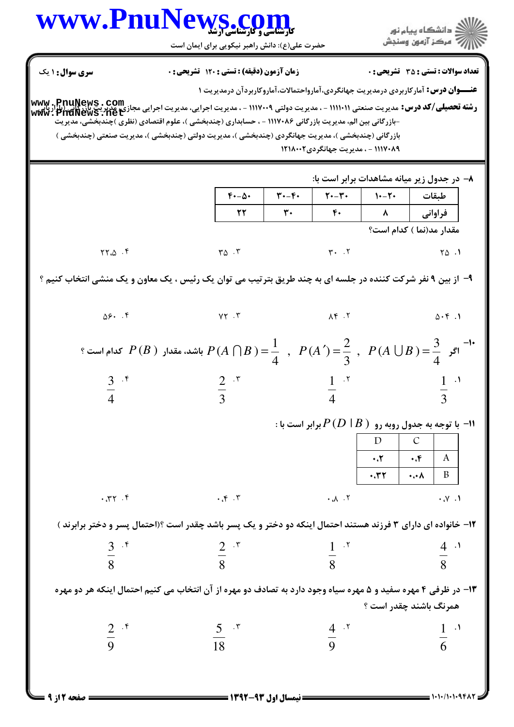ے<br>کا اللہ کا استگاہ پیام نور<br>کا اللہ میکز آزمون وسنجش

| سری سوال : ۱ یک                                                                                                                                                                                              |                                                                                                                                                                  | زمان آزمون (دقیقه) : تستی : 120 تشریحی : 0                                                                                                                   |                |                                   |             | <b>تعداد سوالات : تستی : 35 - تشریحی : 0</b>                                                                            |
|--------------------------------------------------------------------------------------------------------------------------------------------------------------------------------------------------------------|------------------------------------------------------------------------------------------------------------------------------------------------------------------|--------------------------------------------------------------------------------------------------------------------------------------------------------------|----------------|-----------------------------------|-------------|-------------------------------------------------------------------------------------------------------------------------|
|                                                                                                                                                                                                              |                                                                                                                                                                  |                                                                                                                                                              |                |                                   |             | <b>عنـــوان درس:</b> آمارکاربردی درمدیریت جهانگردی،آمارواحتمالات،آماروکاربردآن درمدیریت ۱                               |
| <b>www , PnuNews , Com</b><br>سندری این ت <b>ک درس:</b> مدیریت صنعتی (۱۱۱۱۰۱ - ، مدیریت دولتی ۱۱۱۷۰۰۹ - ، مدیریت اجرایی، مدیریت اجرایی مجازی مجازی<br>www. PnuNews . het                                     |                                                                                                                                                                  |                                                                                                                                                              |                |                                   |             |                                                                                                                         |
| -بازرگانی بین الم، مدیریت بازرگانی ۱۱۱۷۰۸۶ - ، حسابداری (چندبخشی )، علوم اقتصادی (نظری )چندبخشی، مدیریت<br>بازرگانی (چندبخشی )، مدیریت جهانگردی (چندبخشی )، مدیریت دولتی (چندبخشی )، مدیریت صنعتی (چندبخشی ) |                                                                                                                                                                  |                                                                                                                                                              |                |                                   |             |                                                                                                                         |
|                                                                                                                                                                                                              |                                                                                                                                                                  |                                                                                                                                                              |                | ۱۱۱۷۰۸۹ - ، مدیریت جهانگردی۲۱۸۰۰۲ |             |                                                                                                                         |
|                                                                                                                                                                                                              |                                                                                                                                                                  |                                                                                                                                                              |                |                                   |             |                                                                                                                         |
|                                                                                                                                                                                                              |                                                                                                                                                                  | ۸- در جدول زیر میانه مشاهدات برابر است با:<br>$\mathbf{Y} \cdot - \mathbf{Y} \cdot$<br>طبقات   ۲۰–۱۰<br>$f - \Delta$<br>$\mathbf{r} \cdot -\mathbf{r} \cdot$ |                |                                   |             |                                                                                                                         |
|                                                                                                                                                                                                              |                                                                                                                                                                  | 22                                                                                                                                                           | $\mathbf{r}$ . | $F$                               | فراوانی   ۸ |                                                                                                                         |
|                                                                                                                                                                                                              |                                                                                                                                                                  |                                                                                                                                                              |                |                                   |             | مقدار مد(نما ) كدام است؟                                                                                                |
| $\uparrow\uparrow.\uparrow$ . $\uparrow$                                                                                                                                                                     |                                                                                                                                                                  | $r_{\Delta}$ . $r$                                                                                                                                           |                |                                   |             | $\mathsf{r} \cdot \mathsf{r}$ $\mathsf{r} \cdot \mathsf{r}$ $\mathsf{r} \cdot \mathsf{r}$ $\mathsf{r} \cdot \mathsf{r}$ |
|                                                                                                                                                                                                              |                                                                                                                                                                  |                                                                                                                                                              |                |                                   |             |                                                                                                                         |
| ۹- از بین ۹ نفر شرکت کننده در جلسه ای به چند طریق بترتیب می توان یک رئیس ، یک معاون و یک منشی انتخاب کنیم ؟                                                                                                  |                                                                                                                                                                  |                                                                                                                                                              |                |                                   |             |                                                                                                                         |
|                                                                                                                                                                                                              | $\Delta \mathcal{F}$ . F $\mathsf{V} \mathsf{Y}$ .                                                                                                               |                                                                                                                                                              |                | $\Lambda$ $f$ $\Lambda$           |             | $\Delta \cdot \mathfrak{f}$ .                                                                                           |
|                                                                                                                                                                                                              | ؟ اگر $P(B \cup B) = \frac{1}{4}$ , $P(A \cap B) = \frac{1}{4}$ , $P(A \cup B) = \frac{3}{4}$ , $P(A \cup B) = \frac{3}{4}$ كدام است $P(A \cup B) = \frac{3}{4}$ |                                                                                                                                                              |                |                                   |             |                                                                                                                         |
|                                                                                                                                                                                                              |                                                                                                                                                                  |                                                                                                                                                              |                |                                   |             |                                                                                                                         |
| $rac{3}{4}$ .*                                                                                                                                                                                               |                                                                                                                                                                  | $\frac{2}{3}$ $\frac{1}{4}$ $\frac{1}{4}$                                                                                                                    |                |                                   |             | $\frac{1}{3}$ $\cdot$ <sup>1</sup>                                                                                      |
|                                                                                                                                                                                                              |                                                                                                                                                                  |                                                                                                                                                              |                |                                   |             | : ا- با توجه به جدول روبه رو $P\left( D \mid B \right)$ برابر است با $P$                                                |
|                                                                                                                                                                                                              |                                                                                                                                                                  | $D \mid$<br>$\mathcal{C}$                                                                                                                                    |                |                                   |             |                                                                                                                         |
|                                                                                                                                                                                                              |                                                                                                                                                                  |                                                                                                                                                              |                |                                   | $\cdot$     | $\mathbf{A}$<br>$\cdot$ .۴                                                                                              |
|                                                                                                                                                                                                              |                                                                                                                                                                  |                                                                                                                                                              |                |                                   | .77         | $\cdot \cdot \cdot \wedge$<br>$\mathbf{B}$                                                                              |
| 7.77.7                                                                                                                                                                                                       |                                                                                                                                                                  | $\cdot$ , $\cdot$ , $\cdot$                                                                                                                                  |                | $\cdot \Lambda \cdot Y$           |             | $\cdot$ $\vee$ $\cdot$ $\vee$                                                                                           |
| ۱۲- خانواده ای دارای ۳ فرزند هستند احتمال اینکه دو دختر و یک پسر باشد چقدر است ؟(احتمال پسر و دختر برابرند )                                                                                                 |                                                                                                                                                                  |                                                                                                                                                              |                |                                   |             |                                                                                                                         |
|                                                                                                                                                                                                              |                                                                                                                                                                  |                                                                                                                                                              |                |                                   |             |                                                                                                                         |
| $rac{3}{8}$ if                                                                                                                                                                                               |                                                                                                                                                                  | $rac{2}{8}$ x                                                                                                                                                | $\frac{1}{8}$  |                                   |             | $\frac{4}{8}$                                                                                                           |
| ۱۳- در ظرفی ۴ مهره سفید و ۵ مهره سیاه وجود دارد به تصادف دو مهره از آن انتخاب می کنیم احتمال اینکه هر دو مهره                                                                                                |                                                                                                                                                                  |                                                                                                                                                              |                |                                   |             |                                                                                                                         |
|                                                                                                                                                                                                              |                                                                                                                                                                  |                                                                                                                                                              |                |                                   |             | همرنگ باشند چقدر است ؟                                                                                                  |
|                                                                                                                                                                                                              |                                                                                                                                                                  |                                                                                                                                                              |                | $rac{4}{9}$ . T                   |             |                                                                                                                         |
| $rac{2}{9}$ if                                                                                                                                                                                               |                                                                                                                                                                  | $rac{5}{18}$ $\cdot$ $\cdot$                                                                                                                                 |                |                                   |             | $\frac{1}{6}$                                                                                                           |
|                                                                                                                                                                                                              |                                                                                                                                                                  |                                                                                                                                                              |                |                                   |             |                                                                                                                         |
|                                                                                                                                                                                                              |                                                                                                                                                                  |                                                                                                                                                              |                |                                   |             |                                                                                                                         |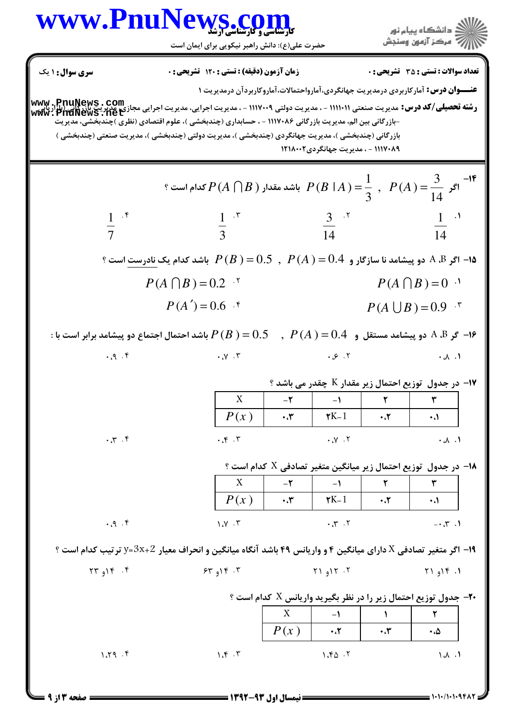| سری سوال: ۱ یک                    | زمان آزمون (دقیقه) : تستی : 120 تشریحی : 0                                                                                                                                                                   |                                                                          |                                     |                        | <b>تعداد سوالات : تستی : 35 ٪ تشریحی : 0</b>                                              |
|-----------------------------------|--------------------------------------------------------------------------------------------------------------------------------------------------------------------------------------------------------------|--------------------------------------------------------------------------|-------------------------------------|------------------------|-------------------------------------------------------------------------------------------|
|                                   |                                                                                                                                                                                                              |                                                                          |                                     |                        | <b>عنـــوان درس:</b> آمارکاربردی درمدیریت جهانگردی،آمارواحتمالات،آماروکاربردآن درمدیریت ۱ |
|                                   | <b>www , PnuNews , Com</b><br>• <b>(شته تحصیلی/کد درس:</b> مدیریت صنعتی ۱۱۱۱۰۱۱ - ، مدیریت او ۱۱۱۷۰۰۹ - ، مدیریت اجرایی مجازی مجازی مجازی این آبان این<br><b>www , PnuNews , het</b>                         |                                                                          |                                     |                        |                                                                                           |
|                                   | -بازرگانی بین الم، مدیریت بازرگانی ۱۱۱۷۰۸۶ - ، حسابداری (چندبخشی )، علوم اقتصادی (نظری )چندبخشی، مدیریت<br>بازرگانی (چندبخشی )، مدیریت جهانگردی (چندبخشی )، مدیریت دولتی (چندبخشی )، مدیریت صنعتی (چندبخشی ) |                                                                          |                                     |                        |                                                                                           |
|                                   |                                                                                                                                                                                                              |                                                                          | ۱۱۱۷۰۸۹ - ، مدیریت جهانگردی ۱۲۱۸۰۰۲ |                        |                                                                                           |
|                                   |                                                                                                                                                                                                              |                                                                          |                                     |                        |                                                                                           |
|                                   | م است ؟ $P(A \cap B)$ باشد مقدار $P(B \cap A) = \dfrac{1}{3}$ , $P(A) = \dfrac{3}{14}$ كدام است $P(A \cap B)$                                                                                                |                                                                          |                                     |                        |                                                                                           |
| $rac{1}{7}$ $\cdot$ $\cdot$       | $rac{1}{3}$ $\cdot$ $\cdot$                                                                                                                                                                                  |                                                                          | $\frac{3}{14}$ x                    |                        | $rac{1}{14}$ $\cdot$ <sup>1</sup>                                                         |
|                                   |                                                                                                                                                                                                              |                                                                          |                                     |                        |                                                                                           |
|                                   | ا اگر A ،B دو پیشامد نا سازگار و $O.4$ $(0.5\;,\;P(A)=0.5\;,\;P(A)=0.5\;$ باشد کدام یک نادرست است ؟                                                                                                          |                                                                          |                                     |                        |                                                                                           |
|                                   | $P(A \cap B) = 0.2$ '                                                                                                                                                                                        |                                                                          |                                     |                        | $P(A \cap B) = 0$ <sup>.1</sup>                                                           |
|                                   | $P(A') = 0.6$ f                                                                                                                                                                                              |                                                                          |                                     |                        | $P(A \cup B) = 0.9$ *                                                                     |
|                                   |                                                                                                                                                                                                              |                                                                          |                                     |                        |                                                                                           |
| $P_1, P_2, \ldots$                | $\cdot \mathcal{N} \cdot \mathcal{N}$                                                                                                                                                                        |                                                                          | $\cdot$ $\circ$ $\cdot$ $\cdot$     |                        | $\cdot \wedge \cdot \wedge$                                                               |
|                                   |                                                                                                                                                                                                              |                                                                          |                                     |                        | <b>۱۷- در جدول توزیع احتمال زیر مقدار K چقدر می باشد ؟</b>                                |
|                                   | X                                                                                                                                                                                                            | $-\mathbf{Y}$                                                            | $\rightarrow$                       | $\mathsf{r}$           |                                                                                           |
|                                   | P(x)                                                                                                                                                                                                         | $\cdot$ , $\mathbf{y}$                                                   | $\mathbf{K}$ -1                     | $\cdot$ . $\mathbf{r}$ | $\cdot$ .                                                                                 |
| $\mathcal{F}$ . $\mathcal{F}_1$ . | $\cdot$ , $\cdot$ , $\cdot$                                                                                                                                                                                  |                                                                          | $\mathbf{y}$ . $\mathbf{y}$         |                        | $\cdot \wedge \cdot \wedge$                                                               |
|                                   |                                                                                                                                                                                                              |                                                                          |                                     |                        | - در جدول توزیع احتمال زیر میانگین متغیر تصادفی $X$ کدام است $\bullet$                    |
|                                   | X                                                                                                                                                                                                            | $-\tau$                                                                  | $-1$                                | $\mathsf{r}$           | ٣                                                                                         |
|                                   | P(x)                                                                                                                                                                                                         | $\cdot$                                                                  | $\mathbf{K}$ -1                     | $\cdot$ .7             | $\cdot$ $\cdot$                                                                           |
| $\cdot$ . $\theta$ . $\theta$     | 1.7.7                                                                                                                                                                                                        |                                                                          | $\cdot$ , $\cdot$ , $\cdot$         |                        | $- \cdot 5$                                                                               |
|                                   | ۱۹- اگر متغیر تصادفی X دارای میانگین ۴ و واریانس ۴۹ باشد آنگاه میانگین و انحراف معیار 2+3×3=y ترتیب کدام است ؟                                                                                               |                                                                          |                                     |                        |                                                                                           |
| $\Upsilon \Upsilon_{q}$           | $54$ $91$ $5$                                                                                                                                                                                                |                                                                          | Y1917.7                             |                        | 1.916.1                                                                                   |
|                                   |                                                                                                                                                                                                              | ۴- جدول توزیع احتمال زیر را در نظر بگیرید واریانس X کدام است ؟ $\bullet$ |                                     |                        |                                                                                           |
|                                   |                                                                                                                                                                                                              | X                                                                        | $-1$                                | $\mathcal{L}$          | ٢                                                                                         |
|                                   |                                                                                                                                                                                                              | P(x)                                                                     | $\cdot$ . $\mathsf{r}$              | $\cdot$                | ۰،۵                                                                                       |
| 1.79.9                            | 1.5.7                                                                                                                                                                                                        |                                                                          | 1.80.7                              |                        | $\Lambda$ .                                                                               |
|                                   |                                                                                                                                                                                                              |                                                                          |                                     |                        |                                                                                           |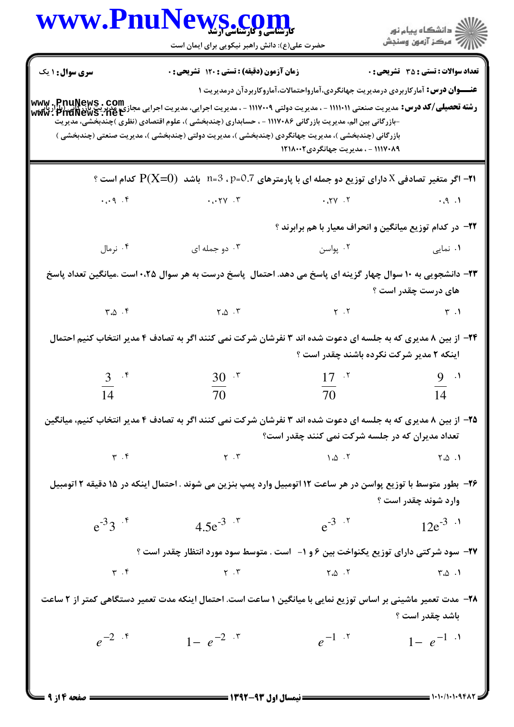|                             | www.PnuNews.com<br><b>کارشناسی و کارشناسی ارشد</b><br>حضرت علی(ع): دانش راهبر نیکویی برای ایمان است                                                                                                                                                                                                                                                                                                                                                             |                                                                                             | ِ<br>∭ دانشڪاه پيام نور<br>∭ مرڪز آزمون وسنڊش       |
|-----------------------------|-----------------------------------------------------------------------------------------------------------------------------------------------------------------------------------------------------------------------------------------------------------------------------------------------------------------------------------------------------------------------------------------------------------------------------------------------------------------|---------------------------------------------------------------------------------------------|-----------------------------------------------------|
| <b>سری سوال : ۱</b> یک      | زمان آزمون (دقیقه) : تستی : ۱۲۰ تشریحی : ۰                                                                                                                                                                                                                                                                                                                                                                                                                      | <b>عنــــوان درس:</b> آمار کاربردی درمدیریت جهانگردی،آمارواحتمالات،آماروکاربردآن درمدیریت ۱ | <b>تعداد سوالات : تستي : 35 ٪ تشریحي : 0</b>        |
|                             | <b>رشته تحصیلی/کد درس:</b> مدیریت صنعتی ۱۱۱۰۰۱۱ - ، مدیریت دولتی ۱۱۱۷۰۰۹ - ، مدیریت اجرایی مدیریت برای کافی (PnuNews<br>س <del>فته تحصیلی/کد درس:</del> مدیریت صنعتی ۱۱۱۱۰۱۱ - ، مدیریت دولتی ۱۱۱۷۰۰۹ - ، مدیریت اجرایی مدیریت برای مدیریت بازر<br>-بازرگانی بین الم، مدیریت بازرگانی ۱۱۱۷۰۸۶ - ، حسابداری (چندبخشی )، علوم اقتصادی (نظری )چندبخشی، مدیریت<br>بازرگانی (چندبخشی )، مدیریت جهانگردی (چندبخشی )، مدیریت دولتی (چندبخشی )، مدیریت صنعتی (چندبخشی ) | ۱۱۱۷۰۸۹ - ، مدیریت جهانگردی۱۲۱۸۰۰۲                                                          |                                                     |
|                             | . اگر متغیر تصادفی X دارای توزیع دو جمله ای با پارمترهای p=0.7 ، p=2   باشد $\rm P(X=O)$ کدام است ؟                                                                                                                                                                                                                                                                                                                                                             |                                                                                             |                                                     |
|                             |                                                                                                                                                                                                                                                                                                                                                                                                                                                                 |                                                                                             |                                                     |
|                             |                                                                                                                                                                                                                                                                                                                                                                                                                                                                 | ۲۲– در کدام توزیع میانگین و انحراف معیار با هم برابرند ؟                                    |                                                     |
| ۰۴ نرمال                    | ۰۳ دو جمله ای                                                                                                                                                                                                                                                                                                                                                                                                                                                   | ۰۲ پواسن                                                                                    | ۰۱ نمایی                                            |
|                             | ۲۳– دانشجویی به ۱۰ سوال چهار گزینه ای پاسخ می دهد. احتمال ِ پاسخ درست به هر سوال ۲۵۰۰ است .میانگین تعداد پاسخ                                                                                                                                                                                                                                                                                                                                                   |                                                                                             | های درست چقدر است ؟                                 |
|                             |                                                                                                                                                                                                                                                                                                                                                                                                                                                                 |                                                                                             |                                                     |
|                             | ۲۴- از بین ۸ مدیری که به جلسه ای دعوت شده اند ۳ نفرشان شرکت نمی کنند اگر به تصادف ۴ مدیر انتخاب کنیم احتمال                                                                                                                                                                                                                                                                                                                                                     | اینکه ۲ مدیر شرکت نکرده باشند چقدر است ؟                                                    |                                                     |
| $3^{7}$                     | $30 - 7$                                                                                                                                                                                                                                                                                                                                                                                                                                                        | 17 <sup>7</sup>                                                                             | $9 \cdot$                                           |
| 14                          | 70                                                                                                                                                                                                                                                                                                                                                                                                                                                              | 70                                                                                          | 14                                                  |
|                             | ۲۵- از بین ۸ مدیری که به جلسه ای دعوت شده اند ۳ نفرشان شرکت نمی کنند اگر به تصادف ۴ مدیر انتخاب کنیم، میانگین                                                                                                                                                                                                                                                                                                                                                   | تعداد مدیران که در جلسه شرکت نمی کنند چقدر است؟                                             |                                                     |
| $\Upsilon$ . $\Upsilon$     | $\mathbf{Y}$ . $\mathbf{Y}$                                                                                                                                                                                                                                                                                                                                                                                                                                     | $\Lambda$ . $\Delta$ . $\tau$                                                               | ۰۱. ۲،۵                                             |
|                             | ۲۶- بطور متوسط با توزیع پواسن در هر ساعت ۱۲ اتومبیل وارد پمپ بنزین می شوند . احتمال اینکه در ۱۵ دقیقه ۲ اتومبیل                                                                                                                                                                                                                                                                                                                                                 |                                                                                             | وارد شوند چقدر است ؟                                |
| $e^{-3}3^{7}$               | $4.5e^{-3}$ $\cdot$ $\cdot$                                                                                                                                                                                                                                                                                                                                                                                                                                     | $e^{-3}$ $\cdot$ $\cdot$                                                                    | $12e^{-3}$ $\cdot$ <sup>1</sup>                     |
|                             | <b>۲۷-</b> سود شرکتی دارای توزیع یکنواخت بین ۶ و ۱- آست . متوسط سود مورد انتظار چقدر است ؟                                                                                                                                                                                                                                                                                                                                                                      |                                                                                             |                                                     |
| $\mathbf{r}$ . $\mathbf{r}$ | $\gamma$ . $\gamma$                                                                                                                                                                                                                                                                                                                                                                                                                                             |                                                                                             | $\mathsf{r} \cdot \mathsf{\Delta} \cdot \mathsf{1}$ |
|                             | ۲۸– مدت تعمیر ماشینی بر اساس توزیع نمایی با میانگین ۱ ساعت است. احتمال اینکه مدت تعمیر دستگاهی کمتر از ۲ ساعت                                                                                                                                                                                                                                                                                                                                                   |                                                                                             | باشد چقدر است ؟                                     |
| $e^{-2}$ .*                 | $1 - e^{-2}$                                                                                                                                                                                                                                                                                                                                                                                                                                                    | $e^{-1}$ . $\zeta$                                                                          | $1 - e^{-1}$                                        |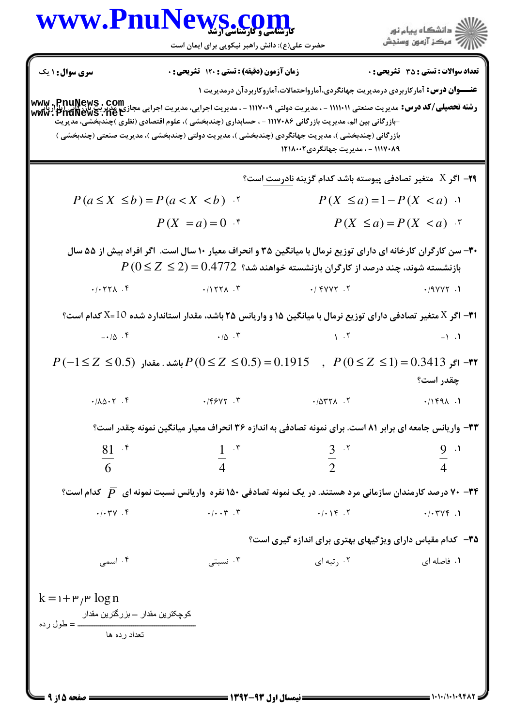ے<br>اگ دانشگاہ پیام نور ج آ مرڪز آزمون وسنڊش

حضرت علي(ع): دانش راهبر نيكويي براي ايمان است

**عنـــوان درس:** آمارکاربردی درمدیریت جهانگردی،آمارواحتمالات،آماروکاربردآن درمدیریت ۱ **رشته تحصيلي/كد درس:** مديريت صنعتي (١١١١٠١ - ، مديريت دولتي ١١١٧٠٠٩ - ، مديريت اجرايي، مديريت اجرايي مجازي<u>،</u> مديري<u>ت بازركاني (با</u>راريايي<br>**رشته تحصيلي/كد درس:** مديريت صنعتي (١١١١٠١ - ، مديريت دولتي ١١١٧٠٠٩ - ، مديريت اجر نعداد سوالات : تستي : 35 تشريحي : . زمان آزمون (دقيقه) : تستي : 120 تشريحي : . سري سوال : 1 يك -بازرگانی بین الم، مدیریت بازرگانی ۱۱۱۷۰۸۶ - ، حسابداری (چندبخشی )، علوم اقتصادی (نظری )چندبخشی، مدیریت بازرگانی (چندبخشی )، مدیریت جهانگردی (چندبخشی )، مدیریت دولتی (چندبخشی )، مدیریت صنعتی (چندبخشی ) ١١١٧٠٨٩ - ، مدير بت جهانگردي ١٢١٨٠٠٢ **۲۹**– اگر X متغیر تصادفی پیوسته باشد کدام گزینه نادرست است؟  $P(a \leq X \leq b) = P(a < X < b)$  \*  $P(X = a) = 0$  <sup>f</sup>  $P(X \le a) = P(X < a)$  <sup>r</sup> .<sup>\*</sup>  $P(X \le a) = 1 - P(X < a)$ . ۳۰- سن کارگران کارخانه ای دارای توزیع نرمال با میانگین ۳۵ و انحراف معیار ۱۰ سال است. اگر افراد بیش از ۵۵ سال  $P$  / بازنشسته شوند، چند درصد از کارگران بازنشسته خواهند شد؟  $-0.4772 \leq Z \leq 9$  $\cdot$ / $\cdot$   $\uparrow$   $\uparrow$   $\uparrow$   $\uparrow$   $\uparrow$   $\uparrow$   $\uparrow$   $\uparrow$   $\uparrow$   $\uparrow$   $\uparrow$   $\uparrow$   $\uparrow$   $\uparrow$   $\uparrow$   $\uparrow$   $\uparrow$   $\uparrow$   $\uparrow$   $\uparrow$   $\uparrow$   $\uparrow$   $\uparrow$   $\uparrow$   $\uparrow$   $\uparrow$   $\uparrow$   $\uparrow$   $\uparrow$   $\uparrow$   $\uparrow$   $\uparrow$   $\uparrow$   $\uparrow$   $\uparrow$  \* . . . . ۳۱– اگر X متغیر تصادفی دارای توزیع نرمال با میانگین ۱۵ و واریانس ۲۵ باشد، مقدار استاندارد شده 10=X کدام است؟  $-\cdot/\Delta$  . F  $|\Delta|$  . T  $|\Delta|$  . T  $|\Delta|$  $\uparrow$   $\uparrow$   $\downarrow$   $\uparrow$   $\uparrow$   $\uparrow$   $\uparrow$   $\uparrow$   $\uparrow$   $\uparrow$   $\uparrow$   $\uparrow$   $\uparrow$   $\uparrow$   $\uparrow$   $\uparrow$   $\uparrow$   $\uparrow$  $\cdot$   $\uparrow$  . T is a set of  $\cdot$   $\uparrow$  . T is a set of  $\cdot$   $\uparrow$  . T is a set of  $\uparrow$  . T  $P(-1 \leq Z \leq 0.5)$  '†−1 $\geq Z \leq 0.5) = 0.1915$  ,  $P(0 \leq Z \leq 1) = 0.3413$  ہاشد . مقدار  $P(0 \leq Z \leq 1) = 0.3413$ چقدر است؟ 9/9 9/:; 9/ 9/ 1. ١٢٩٨، ٢ - ١٨٣٢٨، ٢ - ١٢٩٨، ٢ - ١٣٩٨، ٢ - ١٣٩٨، ٢ - ١٣٩٨، ٢ - ١٣٩٨، ٢ - ١٣٩٨، ٢ ۳۳- واریانس جامعه ای برابر ۸۱ است. برای نمونه تصادفی به اندازه ۳۶ انحراف معیار میانگین نمونه چقدر است؟  $9.1$ 4 3 2 1 4  $81^{4}$ 6 \* . . . . **۳۴** - ۷۰ درصد کارمندان سازمانی مرد هستند. در یک نمونه تصادفی ۱۵۰ نفره واریانس نسبت نمونه ای  $\overline{P}$  کدام است؟  $\cdot$ / $\cdot$   $\uparrow$   $\cdot$   $\uparrow$   $\cdot$   $\uparrow$   $\cdot$   $\uparrow$   $\cdot$   $\uparrow$   $\uparrow$   $\uparrow$   $\uparrow$   $\uparrow$   $\uparrow$   $\uparrow$   $\uparrow$   $\uparrow$   $\uparrow$   $\uparrow$   $\uparrow$   $\uparrow$   $\uparrow$   $\uparrow$   $\uparrow$   $\uparrow$   $\uparrow$   $\uparrow$   $\uparrow$   $\uparrow$   $\uparrow$   $\uparrow$   $\uparrow$   $\uparrow$   $\uparrow$   $\uparrow$   $\uparrow$  $\uparrow$   $\uparrow$   $\uparrow$   $\uparrow$   $\uparrow$   $\uparrow$   $\uparrow$   $\uparrow$   $\uparrow$   $\uparrow$   $\uparrow$   $\uparrow$   $\uparrow$   $\uparrow$   $\uparrow$   $\uparrow$   $\uparrow$   $\uparrow$   $\uparrow$   $\uparrow$   $\uparrow$   $\uparrow$   $\uparrow$   $\uparrow$   $\uparrow$   $\uparrow$   $\uparrow$   $\uparrow$   $\uparrow$   $\uparrow$   $\uparrow$   $\uparrow$   $\uparrow$   $\uparrow$   $\uparrow$   $\uparrow$   $\uparrow$ . . . . ۳۵– کدام مقیاس دارای ویژگیهای بهتری برای اندازه گیری است؟ ۰۴ اسمی . نسبتى -. . . . **۱.** فاصله ای  $\qquad \qquad \mathcal{F}$  رتبه ای مسلسل است است است است است است که این مسلسل است که است که است که است که است  $k = 1 + \frac{\mu}{\rho} \log n$ كوچكترين مقدار — بزرگترين مقدار ـــ = طول رده تعداد ر ده ها **[www.PnuNews.net](http://pnunews.net)**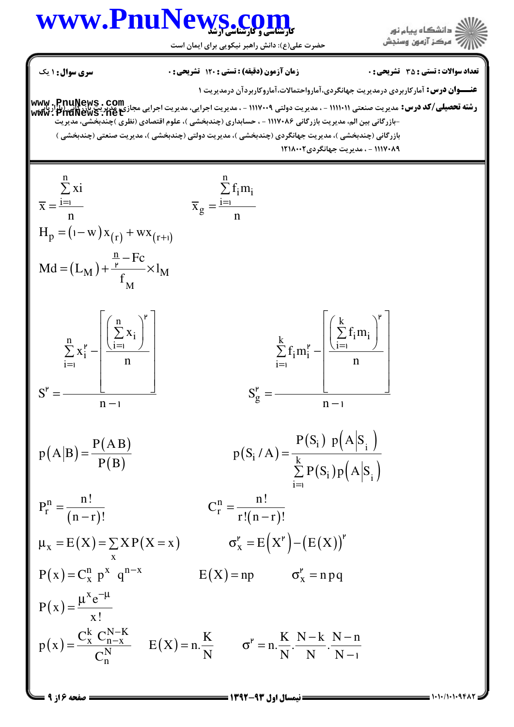

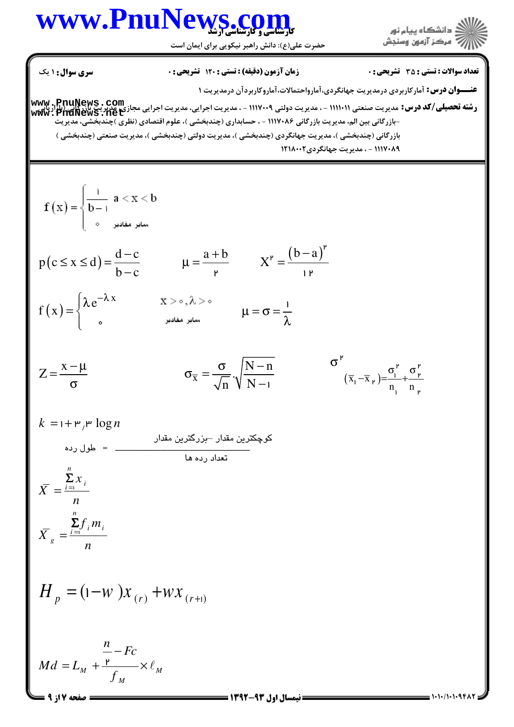حضرت علي(ع): دانش راهبر نيكويي براي ايمان است

نعداد سوالات : تستي : 35 تشريحي : . زمان آزمون (دقيقه) : تستي : 120 تشريحي : . سري سوال : 1 يك **عنـــوان درس:** آمارکاربردی درمدیریت جهانگردی،آمارواحتمالات،آماروکاربردآن درمدیریت ۱ **رشته تحصيلي/كد درس:** مديريت صنعتي (١١١١٠١ - ، مديريت دولتي ١١١٧٠٠٩ - ، مديريت اجرايي، مديريت اجرايي مجازي<u>،</u> مديري<u>ت بازركاني (با</u>راريايي<br>**رشته تحصيلي/كد درس:** مديريت صنعتي (١١١١٠١ - ، مديريت دولتي ١١١٧٠٠٩ - ، مديريت اجر **[www.PnuNews.net](http://pnunews.net)**-بازرگانی بین الم، مدیریت بازرگانی ۱۱۱۷۰۸۶ - ، حسابداری (چندبخشی )، علوم اقتصادی (نظری )چندبخشی، مدیریت بازر گانی (چندبخشی )، مدیریت جهانگردی (چندبخشی )، مدیریت دولتی (چندبخشی )، مدیریت صنعتی (چندبخ ١٢١٨٠٠٢ - ، مدير بت جهانگردي ١٢١٨٠٠٢  $f(x) = \begin{cases} \frac{1}{b-1} & a < x < b \\ 0 & \text{otherwise} \end{cases}$  $\overline{1}$  $p(c \le x \le d) = \frac{d-c}{b-a}$   $\mu = \frac{a+b}{c}$   $X^r = \frac{(b-a)}{(c-a)^r}$  $-c$   $a+b$   $\mathbf{v}^{\mu}$   $(b-a)^{\mu}$ .<br>م  $\leq x \leq d$ ) =  $\frac{d^{n}C}{d}$   $\mu = \frac{d^{n}C}{d}$   $X^{\nu}$  =  $\overline{y}$   $\Lambda =$   $\overline{y}$  $b - c$ −  $\int \lambda e^{-\lambda}$  $e^{-\lambda x}$ 1  $(x)$ f ( $\boldsymbol{\mathrm{x}}$  $=\{$  $\mu = \sigma =$  $\begin{bmatrix} 0 & 0 \\ 0 & 0 \end{bmatrix}$ λ  $\overline{1}$  $\sigma^{\nu}$   $\sigma^{\nu}$   $\sigma^{\nu}$  $Z = \frac{x - \mu}{\tau}$  $-\mu$   $\sigma$   $|N Z = \frac{x - \mu}{\sigma}$   $\sigma_{\overline{x}} = \frac{\sigma}{\sqrt{x}} \sqrt{\frac{N - n}{N}}$ σ' σ  $(\frac{1}{1} - \overline{X}_{1}) = \frac{\sigma_1}{1} + \frac{\sigma_1}{1}$  $(\bar{x}_1 - \bar{x}_1) = \frac{y_1}{n_1} + \frac{z_2}{n_1}$  $-\overline{x}_{\mu}$  )= $\frac{1}{\mu}$ +  $\sigma$   $\sigma_x - \sqrt{n} \sqrt{\gamma} N -1$ n N  $\begin{bmatrix} 1 & \mathbf{1} \\ 1 & \mathbf{1} \end{bmatrix}$  $k = 1 + \mathsf{m}^{\prime}$   $\mathsf{m} \log n$  كوچكترين مقدار –بزرگترين مقدار ـــــــــــــــــــــــــــــــــــــــــــــــــــــــــــــــــ = طول رده تعداد رده ها *n*  $\sum_{i=1}^{\infty}$  $x_i$ Σ  $=\frac{\overline{i}=i}{\overline{1}}$ *X n n* Σ  $f_{i}$ *m*  $\sum_{i=1}^{L} j_i m_i$  $=\frac{i-1}{i}$ *X g n*  $H_p = (1 - w)x_{(r)} + wx_{(r+1)}$ *n* − *Fc*  $= L_M + \frac{P}{r} \times \ell$  $Md = L$  $M \quad C \quad \sim M$ *f M*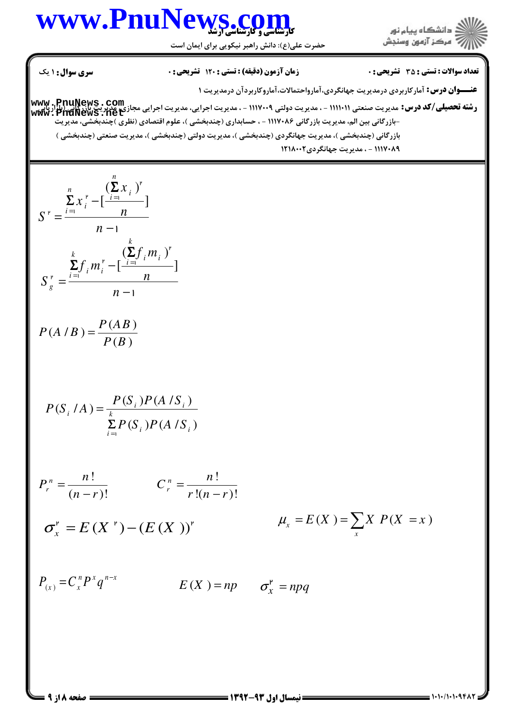

حضرت علي(ع): دانش راهبر نيكويي براي ايمان است

**عنـــوان درس:** آمارکاربردی درمدیریت جهانگردی،آمارواحتمالات،آماروکاربردآن درمدیریت ۱ **رشته تحصيلي/كد درس:** مديريت صنعتي (١١١١٠١ - ، مديريت دولتي ١١١٧٠٠٩ - ، مديريت اجرايي، مديريت اجرايي مجازي<u>،</u> مديري<u>ت بازركاني (با</u>راريايي<br>**رشته تحصيلي/كد درس:** مديريت صنعتي (١١١١٠١ - ، مديريت دولتي ١١١٧٠٠٩ - ، مديريت اجر نعداد سوالات : تستي : 35 تشريحي : . زمان آزمون (دقيقه) : تستي : 120 تشريحي : . سري سوال : 1 يك -بازرگانی بین الم، مدیریت بازرگانی ۱۱۱۷۰۸۶ - ، حسابداری (چندبخشی )، علوم اقتصادی (نظری )چندبخشی، مدیریت بازر گانی (چندبخشی )، مدیریت جهانگردی (چندبخشی )، مدیریت دولتی (چندبخشی )، مدیریت صنعتی (چندبخ ١٢١٨٠٠٢ - ، مدير بت جهانگردي ١٢١٨٠٠٢  $(\sum x_i)$  $\left[\frac{i=1}{i} \right]$ *n*  $\sum_{i=1}^{n} r_i^{\mu} - \left[\frac{\sum_i X_i}{i}\right]$  $\sum_{i=1}^{n}$   $\sum_{i=1}^{n}$ *x x*  $S^{\nu} = \frac{i \sin \nu}{\nu} \frac{n}{\nu}$ *n* Σ  $\sum_{i=1}^r x_i^{\mathsf{r}} - [\frac{\mathsf{r}}{i}]$ − = −  $\mathbf{r}$  $\mathbf{r}$   $\overrightarrow{i}$  = 1  $i = i$ 1  $(\sum f_i m_i)$  $\left[\frac{i}{i}$   $\frac{1}{i}$   $\frac{1}{i}$   $\frac{1}{i}$   $\frac{1}{i}$   $\frac{1}{i}$ *k*  $\sum_{i=1}^{k} f_i m_i^{\nu} = \left[\frac{L}{i}\right]_i m_i^{\nu}$  $\sum_{i=1}$  *i*  $\sum_{i=1}^{n}$ *g*  $f_{i}$ *m*  $f_{i}$ *m*  $S_{\circ}^{\ \nu} = \frac{i - i}{n}$  *n n* Σ  $\sum_{i=1} f_i m_i^{\nu} - \left[ \frac{i=1}{\nu} \right]$ = −  $\overline{1}$  $\mathbf{r}$   $\overrightarrow{i}$  $i = i$ 1  $(A / B) = \frac{P(AB)}{P(AB)}$  $(B)$  $P(A \mid B) = \frac{P(AB)}{P(B)}$  $P(B)$ =  $(S_i / A) = \frac{P(S_i)P(A / S_i)}{P(A \cap S_i)}$  $(S_i) P(A/S_i)$  $i^{j}$ <sup>*i*</sup>  $i^{j}$  $i^{111}$   $k^{11}$  $\sum_{i=1}^{n}$  ( $\sum_{j=1}^{n}$   $\sum_{i=1}^{n}$   $\sum_{i=1}^{n}$  $P(S_i / A) = \frac{P(S_i)P(A / S)}{P(S_i | A)}$  $\sum\limits_{i=1} P(S_i) P(A|S)$ = -<br>- 1 !  $!(n - r)!$ *n r n C*  $r!(n-r)$ =  $\frac{r}{r}$   $\frac{r}{n-1}$ !  $(n-r)!$ *n r n P*  $n - r$ = −  $Y_x = E(X) = \sum_{x} X P(X = x)$ *x*  $\mu_x = E(X) = \sum_{x} X P(X = x)$  $\sigma^{\nu} = E(X^{\nu}) - (E(X))^{\nu}$  $\sigma_x^{\mathsf{P}} = npq$  $E(X) = np$  $P_{(x)} = C_x^n P^x q^{n-x}$ **[www.PnuNews.net](http://pnunews.net)**